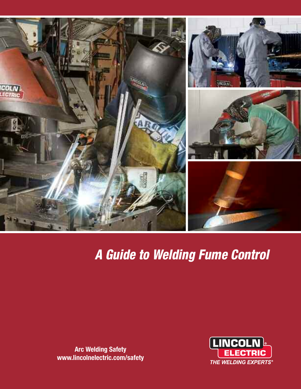

# *A Guide to Welding Fume Control*

**Arc Welding Safety www.lincolnelectric.com/safety**

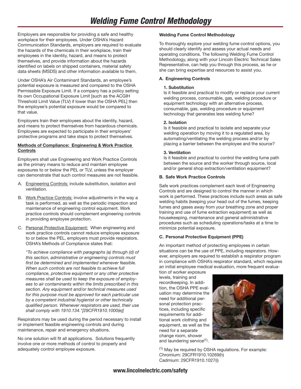Employers are responsible for providing a safe and healthy workplace for their employees. Under OSHA's Hazard Communication Standards, employers are required to evaluate the hazards of the chemicals in their workplace, train their employees in the identity, hazard, and means to protect themselves, and provide information about the hazards identified on labels on shipped containers, material safety data sheets (MSDS) and other information available to them.

Under OSHA's Air Contaminant Standards, an employee's potential exposure is measured and compared to the OSHA Permissible Exposure Limit. If a company has a policy setting its own Occupational Exposure Limit [such as the ACGIH Threshold Limit Value (TLV) if lower than the OSHA PEL] then the employee's potential exposure would be compared to that value.

Employers train their employees about the identity, hazard, and means to protect themselves from hazardous chemicals. Employees are expected to participate in their employers' protective programs and take steps to protect themselves.

#### **Methods of Compliance: Engineering & Work Practice Controls**

Employers shall use Engineering and Work Practice Controls as the primary means to reduce and maintain employee exposures to or below the PEL or TLV, unless the employer can demonstrate that such control measures are not feasible.

- A. Engineering Controls: include substitution, isolation and ventilation.
- B. Work Practice Controls: involve adjustments in the way a task is performed, as well as the periodic inspection and maintenance of engineering control equipment. Work practice controls should complement engineering controls in providing employee protection.
- C. Personal Protective Equipment: When engineering and work practice controls cannot reduce employee exposure to or below the PEL, employers must provide respirators. OSHA's Methods of Compliance states that:

*"To achieve compliance with paragraphs (a) through (d) of this section, administrative or engineering controls must first be determined and implemented whenever feasible. When such controls are not feasible to achieve full compliance, protective equipment or any other protective measures shall be used to keep the exposure of employees to air contaminants within the limits prescribed in this section. Any equipment and/or technical measures used for this purpose must be approved for each particular use by a competent industrial hygienist or other technically qualified person. Whenever respirators are used, their use shall comply with 1910.134."[29CFR1910.1000(e)]*

Respirators may be used during the period necessary to install or implement feasible engineering controls and during maintenance, repair and emergency situations.

No one solution will fit all applications. Solutions frequently involve one or more methods of control to properly and adequately control employee exposure.

#### **Welding Fume Control Methodology**

To thoroughly explore your welding fume control options, you should clearly identify and assess your actual needs and operating conditions. The following Welding Fume Control Methodology, along with your Lincoln Electric Technical Sales Representative, can help you through this process, as he or she can bring expertise and resources to assist you.

#### **A. Engineering Controls**

#### **1. Substitution**

Is it feasible and practical to modify or replace your current welding process, consumable, gas, welding procedure or equipment technology with an alternative process, consumable, gas, welding procedure or equipment technology that generates less welding fume?

#### **2. Isolation**

Is it feasible and practical to isolate and separate your welding operation by moving it to a regulated area, by automating/ventilating the welding process and/or by placing a barrier between the employee and the source?

#### **3. Ventilation**

Is it feasible and practical to control the welding fume path between the source and the worker through source, local and/or general shop extraction/ventilation equipment?

#### **B. Safe Work Practice Controls**

Safe work practices complement each level of Engineering Controls and are designed to control the manner in which work is performed. These practices include such areas as safe welding habits (keeping your head out of the fumes, keeping fumes and gases away from your breathing zone and proper training and use of fume extraction equipment) as well as housekeeping, maintenance and general administrative procedures such as scheduling operations/tasks at a time to minimize potential exposure.

#### **C. Personal Protective Equipment (PPE)**

An important method of protecting employees in certain situations can be the use of PPE, including respirators. However, employers are required to establish a respirator program in compliance with OSHA's respirator standard, which requires an initial employee medical evaluation, more frequent evalua-

tion of worker exposure levels, training and recordkeeping. In addition, the OSHA PPE evaluation may determine the need for additional personal protection practices, including specific requirements for additional work clothing and equipment, as well as the need for a separate change room, shower and laundering service<sup>(1)</sup>.



 $(1)$  May be required by OSHA requiations. For example: Chromium: 29CFR1910.10269(h) Cadmium: 29CFR1910.1027(i)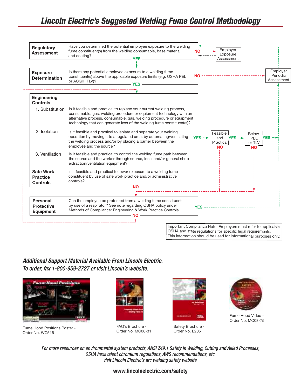## *Lincoln Electric's Suggested Welding Fume Control Methodology*

| <b>Regulatory</b><br><b>Assessment</b>                   | Have you determined the potential employee exposure to the welding<br>Employer<br>fume constituent(s) from the welding consumable, base material<br>$NO$ ----- $\blacktriangleright$<br>Exposure<br>and coating?<br>$-$ YES $-$<br>Assessment                                                                                                                                   |
|----------------------------------------------------------|---------------------------------------------------------------------------------------------------------------------------------------------------------------------------------------------------------------------------------------------------------------------------------------------------------------------------------------------------------------------------------|
|                                                          |                                                                                                                                                                                                                                                                                                                                                                                 |
| <b>Exposure</b><br><b>Determination</b>                  | Employer<br>Is there any potential employee exposure to a welding fume<br>Periodic<br><b>NO</b><br>constituent(s) above the applicable exposure limits (e.g. OSHA PEL<br>Assessment<br>or ACGIH TLV)?<br>$\overline{\phantom{a}}$ YES $\overline{\phantom{a}}$<br>__________________________________                                                                            |
| <b>Engineering</b><br><b>Controls</b>                    |                                                                                                                                                                                                                                                                                                                                                                                 |
| 1. Substitution                                          | Is it feasible and practical to replace your current welding process,<br>consumable, gas, welding procedure or equipment technology with an<br>alternative process, consumable, gas, welding procedure or equipment<br>technology that can generate less of the welding fume constituent(s)?                                                                                    |
| 2. Isolation                                             | Is it feasible and practical to isolate and separate your welding<br>Feasible<br>Below<br>operation by moving it to a regulated area, by automating/ventilating<br>$YES - +$<br>and $YES - \rightarrow$<br><b>YES</b><br><b>PEL</b><br>the welding process and/or by placing a barrier between the<br>Practical<br>or TLV<br>employee and the source?<br><b>NO</b><br><b>NO</b> |
| 3. Ventilation                                           | Is it feasible and practical to control the welding fume path between<br>the source and the worker through source, local and/or general shop<br>extraction/ventilation equipment?                                                                                                                                                                                               |
| <b>Safe Work</b><br><b>Practice</b><br><b>Controls</b>   | Is it feasible and practical to lower exposure to a welding fume<br>constituent by use of safe work practice and/or administrative<br>controls?                                                                                                                                                                                                                                 |
|                                                          |                                                                                                                                                                                                                                                                                                                                                                                 |
| <b>Personal</b><br><b>Protective</b><br><b>Equipment</b> | Can the employee be protected from a welding fume constituent<br>by use of a respirator? See note regarding OSHA policy under<br><b>YES</b> --------------------------<br>Methods of Compliance: Engineering & Work Practice Controls.                                                                                                                                          |

### *Additional Support Material Available From Lincoln Electric. To order, fax 1-800-959-2727 or visit Lincoln's website.*



Fume Hood Positions Poster - Order No. WC516



FAQ's Brochure - Order No. MC08-31



Safety Brochure - Order No. E205



Fume Hood Video - Order No. MC08-75

*For more resources on environmental system products, ANSI Z49.1 Safety in Welding, Cutting and Allied Processes, OSHA hexavalent chromium regulations, AWS recommendations, etc. visit Lincoln Electric's arc welding safety website.*